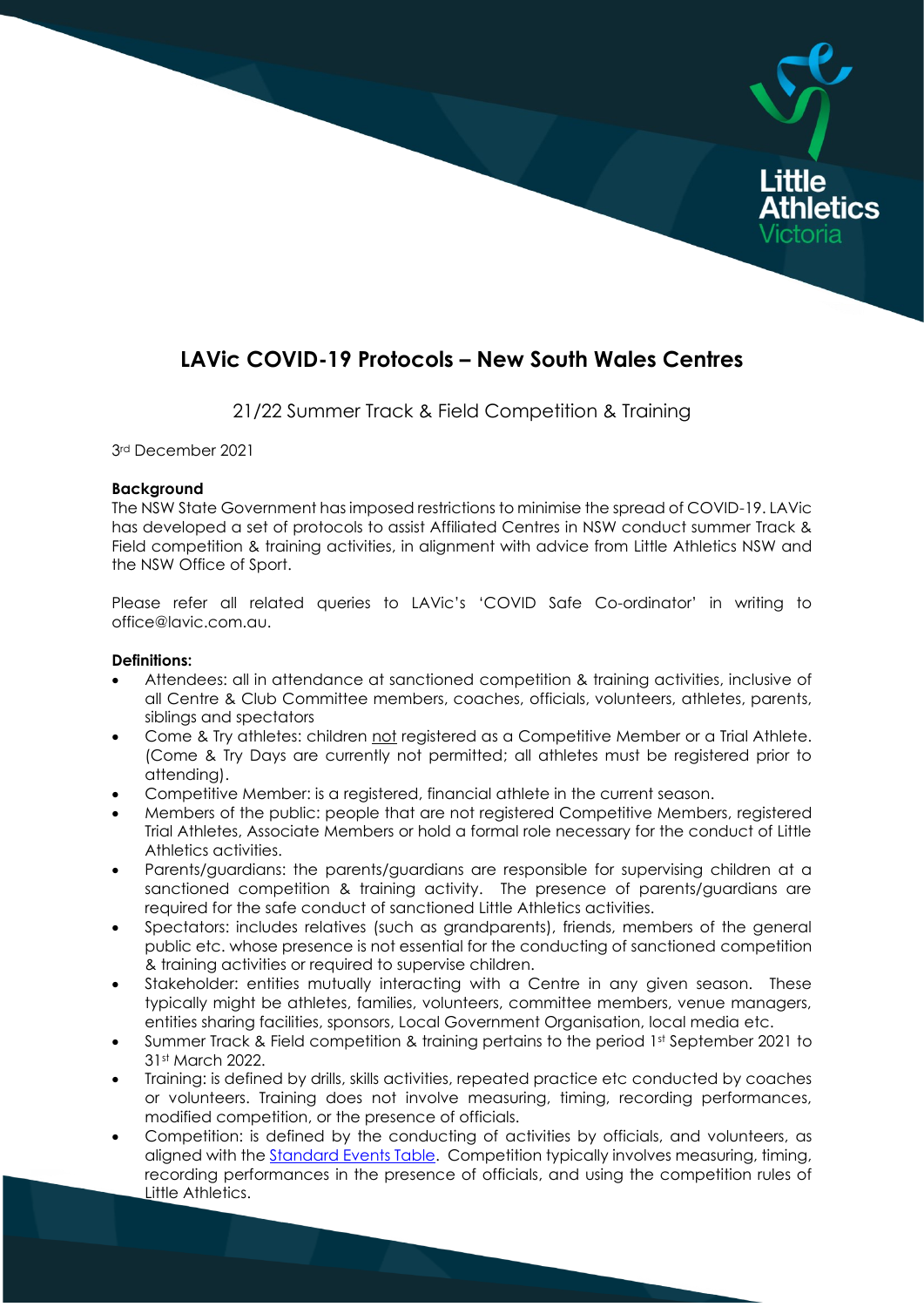# **LAVic COVID-19 Protocols – New South Wales Centres**

Little

21/22 Summer Track & Field Competition & Training

3rd December 2021

#### **Background**

The NSW State Government has imposed restrictions to minimise the spread of COVID-19. LAVic has developed a set of protocols to assist Affiliated Centres in NSW conduct summer Track & Field competition & training activities, in alignment with advice from Little Athletics NSW and the NSW Office of Sport.

Please refer all related queries to LAVic's 'COVID Safe Co-ordinator' in writing to office@lavic.com.au.

#### **Definitions:**

- Attendees: all in attendance at sanctioned competition & training activities, inclusive of all Centre & Club Committee members, coaches, officials, volunteers, athletes, parents, siblings and spectators
- Come & Try athletes: children not registered as a Competitive Member or a Trial Athlete. (Come & Try Days are currently not permitted; all athletes must be registered prior to attending).
- Competitive Member: is a registered, financial athlete in the current season.
- Members of the public: people that are not registered Competitive Members, registered Trial Athletes, Associate Members or hold a formal role necessary for the conduct of Little Athletics activities.
- Parents/guardians: the parents/guardians are responsible for supervising children at a sanctioned competition & training activity. The presence of parents/guardians are required for the safe conduct of sanctioned Little Athletics activities.
- Spectators: includes relatives (such as grandparents), friends, members of the general public etc. whose presence is not essential for the conducting of sanctioned competition & training activities or required to supervise children.
- Stakeholder: entities mutually interacting with a Centre in any given season. These typically might be athletes, families, volunteers, committee members, venue managers, entities sharing facilities, sponsors, Local Government Organisation, local media etc.
- Summer Track & Field competition & training pertains to the period 1st September 2021 to 31st March 2022.
- Training: is defined by drills, skills activities, repeated practice etc conducted by coaches or volunteers. Training does not involve measuring, timing, recording performances, modified competition, or the presence of officials.
- Competition: is defined by the conducting of activities by officials, and volunteers, as aligned with the **Standard Events Table**. Competition typically involves measuring, timing, recording performances in the presence of officials, and using the competition rules of Little Athletics.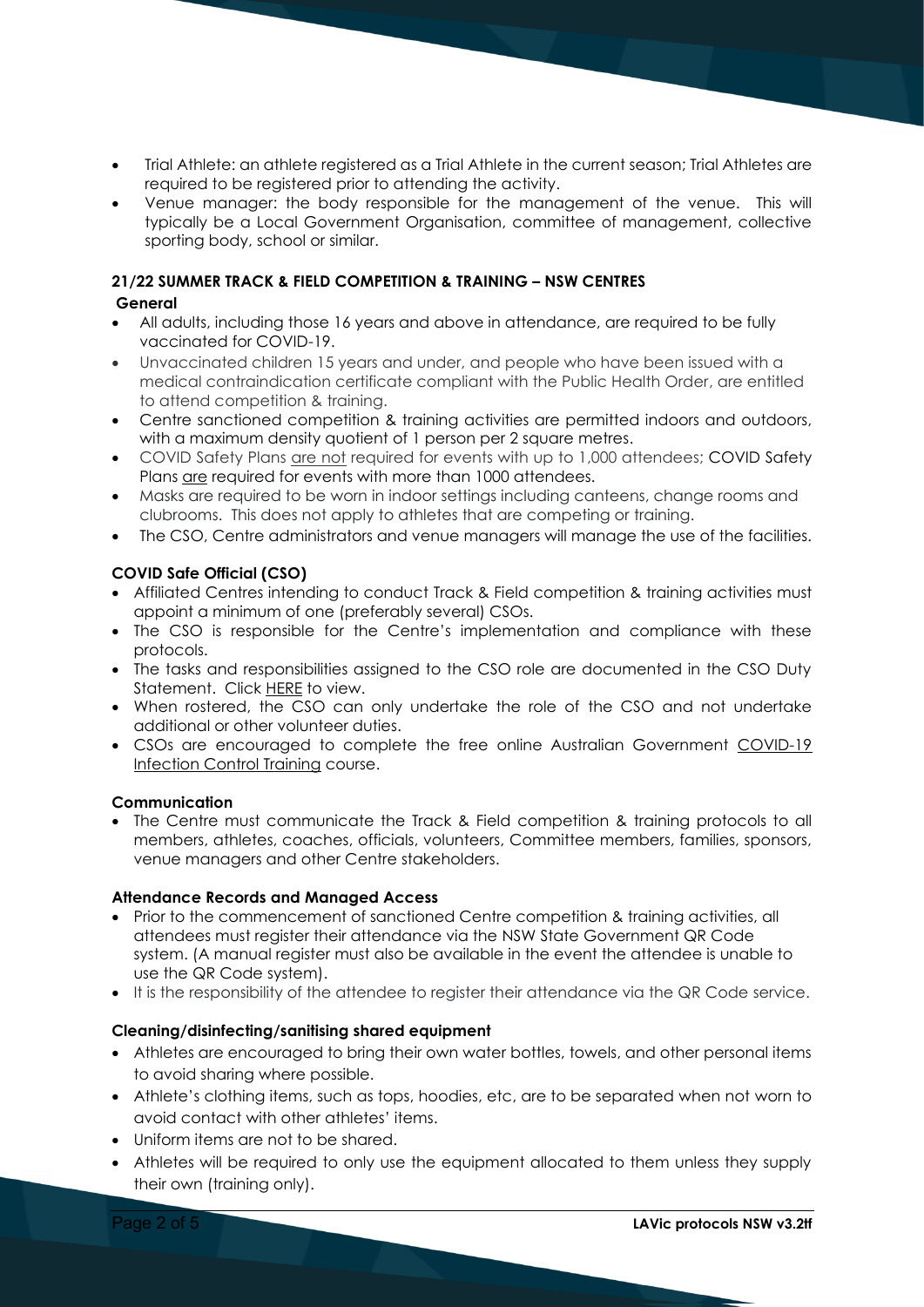- Trial Athlete: an athlete registered as a Trial Athlete in the current season; Trial Athletes are required to be registered prior to attending the activity.
- Venue manager: the body responsible for the management of the venue. This will typically be a Local Government Organisation, committee of management, collective sporting body, school or similar.

## **21/22 SUMMER TRACK & FIELD COMPETITION & TRAINING – NSW CENTRES**

## **General**

- All adults, including those 16 years and above in attendance, are required to be fully vaccinated for COVID-19.
- Unvaccinated children 15 years and under, and people who have been issued with a medical contraindication certificate compliant with the Public Health Order, are entitled to attend competition & training.
- Centre sanctioned competition & training activities are permitted indoors and outdoors, with a maximum density quotient of 1 person per 2 square metres.
- COVID Safety Plans are not required for events with up to 1,000 attendees; COVID Safety Plans are required for events with more than 1000 attendees.
- Masks are required to be worn in indoor settings including canteens, change rooms and clubrooms. This does not apply to athletes that are competing or training.
- The CSO, Centre administrators and venue managers will manage the use of the facilities.

## **COVID Safe Official (CSO)**

- Affiliated Centres intending to conduct Track & Field competition & training activities must appoint a minimum of one (preferably several) CSOs.
- The CSO is responsible for the Centre's implementation and compliance with these protocols.
- The tasks and responsibilities assigned to the CSO role are documented in the CSO Duty Statement. Click [HERE](https://lavic.com.au/covid-19/) to view.
- When rostered, the CSO can only undertake the role of the CSO and not undertake additional or other volunteer duties.
- CSOs are encouraged to complete the free online Australian Government [COVID-19](https://www.health.gov.au/resources/apps-and-tools/covid-19-infection-control-training)  [Infection Control Training](https://www.health.gov.au/resources/apps-and-tools/covid-19-infection-control-training) course.

#### **Communication**

• The Centre must communicate the Track & Field competition & training protocols to all members, athletes, coaches, officials, volunteers, Committee members, families, sponsors, venue managers and other Centre stakeholders.

#### **Attendance Records and Managed Access**

- Prior to the commencement of sanctioned Centre competition & training activities, all attendees must register their attendance via the NSW State Government QR Code system. (A manual register must also be available in the event the attendee is unable to use the QR Code system).
- It is the responsibility of the attendee to register their attendance via the QR Code service.

## **Cleaning/disinfecting/sanitising shared equipment**

- Athletes are encouraged to bring their own water bottles, towels, and other personal items to avoid sharing where possible.
- Athlete's clothing items, such as tops, hoodies, etc, are to be separated when not worn to avoid contact with other athletes' items.
- Uniform items are not to be shared.
- Athletes will be required to only use the equipment allocated to them unless they supply their own (training only).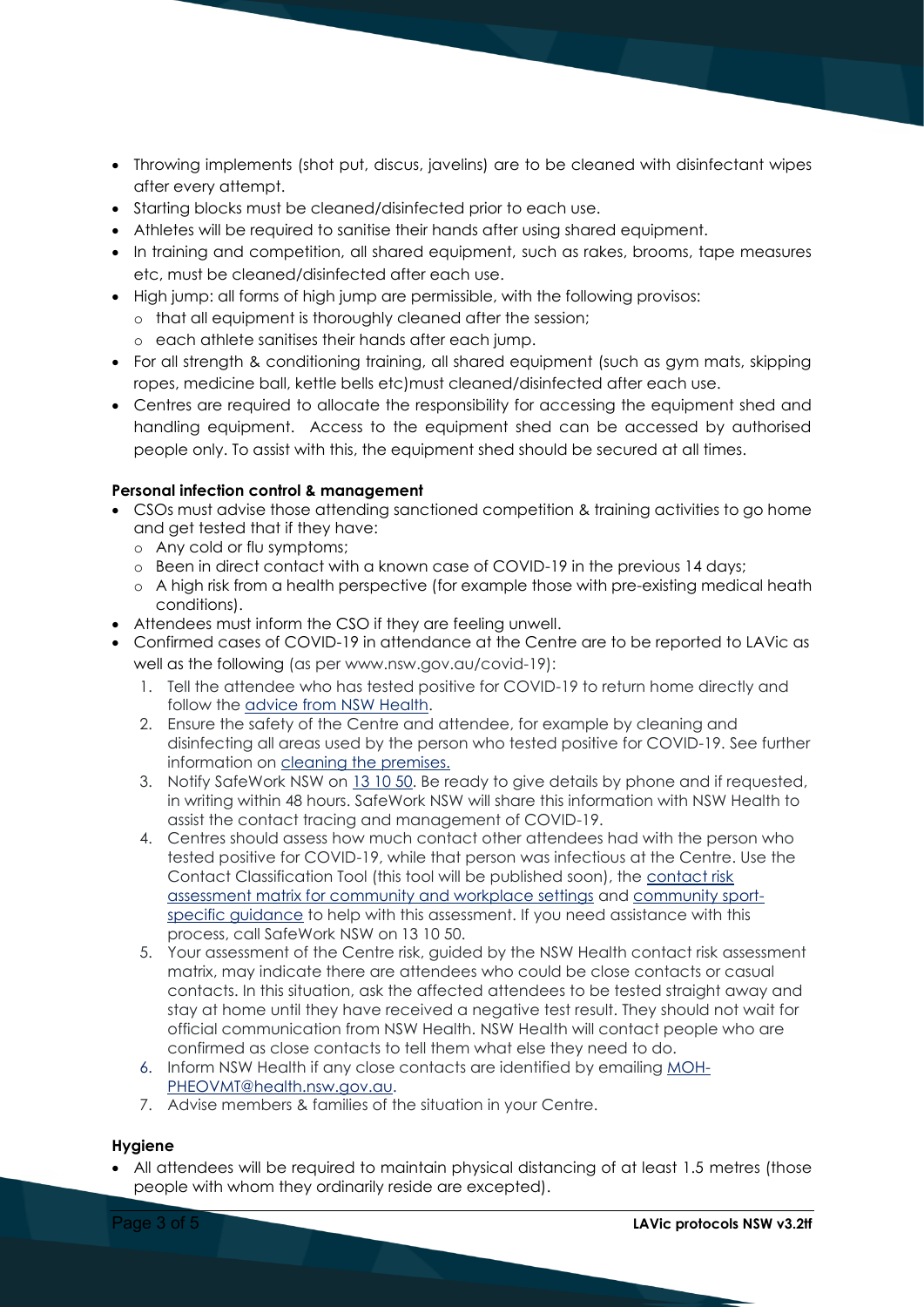- Throwing implements (shot put, discus, javelins) are to be cleaned with disinfectant wipes after every attempt.
- Starting blocks must be cleaned/disinfected prior to each use.
- Athletes will be required to sanitise their hands after using shared equipment.
- In training and competition, all shared equipment, such as rakes, brooms, tape measures etc, must be cleaned/disinfected after each use.
- High jump: all forms of high jump are permissible, with the following provisos:
- o that all equipment is thoroughly cleaned after the session;
	- o each athlete sanitises their hands after each jump.
- For all strength & conditioning training, all shared equipment (such as gym mats, skipping ropes, medicine ball, kettle bells etc)must cleaned/disinfected after each use.
- Centres are required to allocate the responsibility for accessing the equipment shed and handling equipment. Access to the equipment shed can be accessed by authorised people only. To assist with this, the equipment shed should be secured at all times.

## **Personal infection control & management**

- CSOs must advise those attending sanctioned competition & training activities to go home and get tested that if they have:
	- o Any cold or flu symptoms;
	- o Been in direct contact with a known case of COVID-19 in the previous 14 days;
	- o A high risk from a health perspective (for example those with pre-existing medical heath conditions).
- Attendees must inform the CSO if they are feeling unwell.
- Confirmed cases of COVID-19 in attendance at the Centre are to be reported to LAVic as well as the following (as per www.nsw.gov.au/covid-19):
	- 1. Tell the attendee who has tested positive for COVID-19 to return home directly and follow the [advice from NSW Health.](https://www.health.nsw.gov.au/Infectious/factsheets/Pages/advice-for-confirmed.aspx)
	- 2. Ensure the safety of the Centre and attendee, for example by cleaning and disinfecting all areas used by the person who tested positive for COVID-19. See further information on [cleaning the](https://covid19.swa.gov.au/covid-19-information-workplaces/industry-information/general-industry-information/cleaning) premises.
	- 3. Notify SafeWork NSW on [13 10 50.](tel:131050) Be ready to give details by phone and if requested, in writing within 48 hours. SafeWork NSW will share this information with NSW Health to assist the contact tracing and management of COVID-19.
	- 4. Centres should assess how much contact other attendees had with the person who tested positive for COVID-19, while that person was infectious at the Centre. Use the Contact Classification Tool (this tool will be published soon), the [contact risk](https://www.health.nsw.gov.au/Infectious/controlguideline/Documents/contact-risk-assessment-business-settings.pdf)  [assessment matrix for community and workplace settings](https://www.health.nsw.gov.au/Infectious/controlguideline/Documents/contact-risk-assessment-business-settings.pdf) and [community sport](https://www.nsw.gov.au/covid-19/business/safety-plans/community-sport)[specific guidance](https://www.nsw.gov.au/covid-19/business/safety-plans/community-sport) to help with this assessment. If you need assistance with this process, call SafeWork NSW on 13 10 50.
	- 5. Your assessment of the Centre risk, guided by the NSW Health contact risk assessment matrix, may indicate there are attendees who could be close contacts or casual contacts. In this situation, ask the affected attendees to be tested straight away and stay at home until they have received a negative test result. They should not wait for official communication from NSW Health. NSW Health will contact people who are confirmed as close contacts to tell them what else they need to do.
	- 6. Inform NSW Health if any close contacts are identified by emailing [MOH-](mailto:MOH-PHEOVMT@health.nsw.gov.au)[PHEOVMT@health.nsw.gov.au.](mailto:MOH-PHEOVMT@health.nsw.gov.au)
	- 7. Advise members & families of the situation in your Centre.

## **Hygiene**

• All attendees will be required to maintain physical distancing of at least 1.5 metres (those people with whom they ordinarily reside are excepted).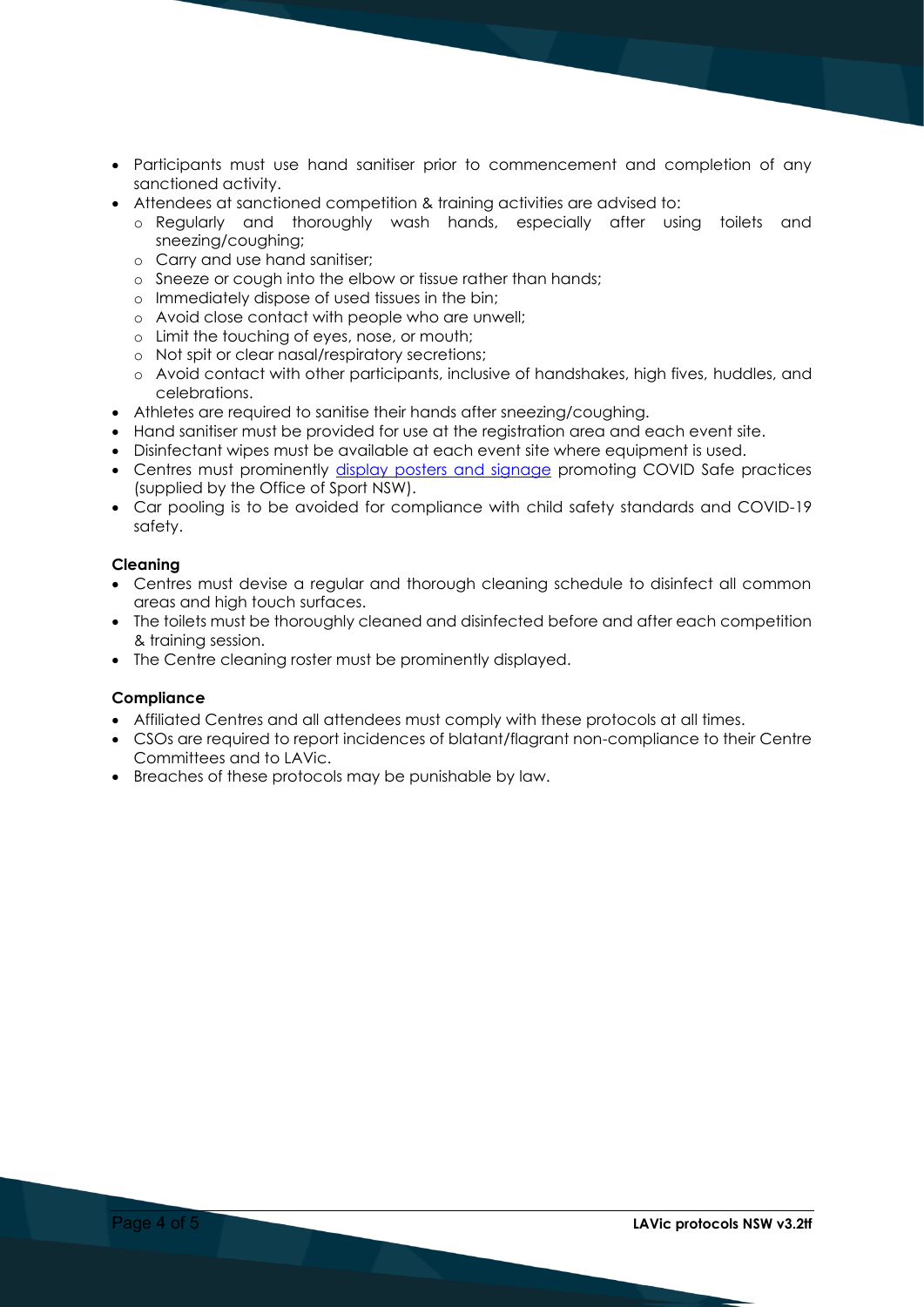- Participants must use hand sanitiser prior to commencement and completion of any sanctioned activity.
- Attendees at sanctioned competition & training activities are advised to:
	- o Regularly and thoroughly wash hands, especially after using toilets and sneezing/coughing;
	- o Carry and use hand sanitiser;
	- o Sneeze or cough into the elbow or tissue rather than hands;
	- o Immediately dispose of used tissues in the bin;
	- o Avoid close contact with people who are unwell;
	- o Limit the touching of eyes, nose, or mouth;
	- o Not spit or clear nasal/respiratory secretions;
	- o Avoid contact with other participants, inclusive of handshakes, high fives, huddles, and celebrations.
- Athletes are required to sanitise their hands after sneezing/coughing.
- Hand sanitiser must be provided for use at the registration area and each event site.
- Disinfectant wipes must be available at each event site where equipment is used.
- Centres must prominently [display posters and signage](https://www.nsw.gov.au/covid-19/business/covid-safe-business/toolkit) promoting COVID Safe practices (supplied by the Office of Sport NSW).
- Car pooling is to be avoided for compliance with child safety standards and COVID-19 safety.

#### **Cleaning**

- Centres must devise a regular and thorough cleaning schedule to disinfect all common areas and high touch surfaces.
- The toilets must be thoroughly cleaned and disinfected before and after each competition & training session.
- The Centre cleaning roster must be prominently displayed.

## **Compliance**

- Affiliated Centres and all attendees must comply with these protocols at all times.
- CSOs are required to report incidences of blatant/flagrant non-compliance to their Centre Committees and to LAVic.
- Breaches of these protocols may be punishable by law.